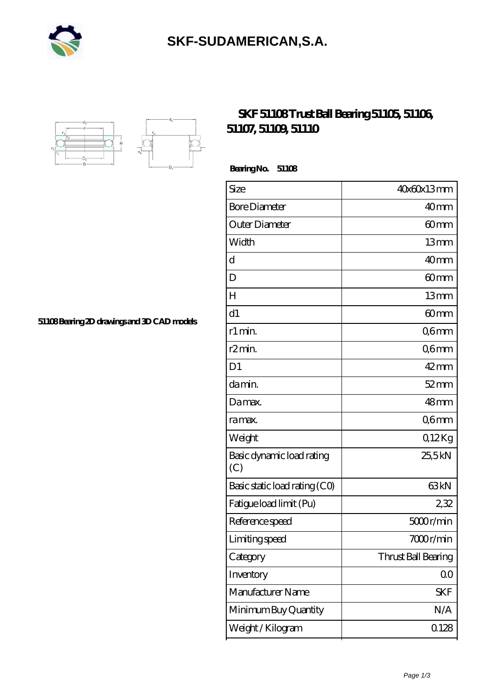

## **[SKF-SUDAMERICAN,S.A.](https://iblcheck.com)**



## **[SKF 51108 Trust Ball Bearing 51105, 51106,](https://iblcheck.com/skf-51108-bearing/) [51107, 51109, 51110](https://iblcheck.com/skf-51108-bearing/)**

 **Bearing No. 51108**

| Size                             | 40x60x13mm          |
|----------------------------------|---------------------|
| <b>Bore Diameter</b>             | 40 <sub>mm</sub>    |
| Outer Diameter                   | 60mm                |
| Width                            | 13mm                |
| d                                | 40 <sub>mm</sub>    |
| D                                | 60 <sub>mm</sub>    |
| H                                | 13mm                |
| d1                               | 60 <sub>mm</sub>    |
| r1 min.                          | Q6mm                |
| r <sub>2</sub> min.              | Q6mm                |
| D <sub>1</sub>                   | $42$ mm             |
| da min.                          | $52$ mm             |
| Damax.                           | 48mm                |
| ra max.                          | Q6mm                |
| Weight                           | Q12Kg               |
| Basic dynamic load rating<br>(C) | 25,5kN              |
| Basic static load rating (CO)    | 63 <sub>kN</sub>    |
| Fatigue load limit (Pu)          | 232                 |
| Reference speed                  | 5000r/min           |
| Limiting speed                   | 7000r/min           |
| Category                         | Thrust Ball Bearing |
| Inventory                        | 0 <sub>0</sub>      |
| Manufacturer Name                | <b>SKF</b>          |
| Minimum Buy Quantity             | N/A                 |
| Weight / Kilogram                | 0.128               |

**[51108 Bearing 2D drawings and 3D CAD models](https://iblcheck.com/pic-804809.html)**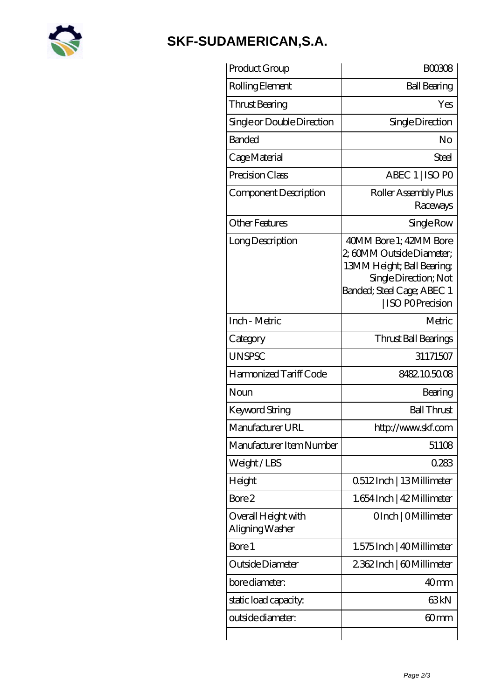

## **[SKF-SUDAMERICAN,S.A.](https://iblcheck.com)**

| Product Group                          | <b>BOO308</b>                                                                                                                                                     |
|----------------------------------------|-------------------------------------------------------------------------------------------------------------------------------------------------------------------|
| Rolling Element                        | <b>Ball Bearing</b>                                                                                                                                               |
| Thrust Bearing                         | Yes                                                                                                                                                               |
| Single or Double Direction             | Single Direction                                                                                                                                                  |
| <b>Banded</b>                          | No                                                                                                                                                                |
| Cage Material                          | Steel                                                                                                                                                             |
| Precision Class                        | ABEC 1   ISO PO                                                                                                                                                   |
| Component Description                  | Roller Assembly Plus<br>Raceways                                                                                                                                  |
| <b>Other Features</b>                  | Single Row                                                                                                                                                        |
| Long Description                       | 40MM Bore 1: 42MM Bore<br>2, 60MM Outside Diameter;<br>13MM Height; Ball Bearing<br>Single Direction; Not<br>Banded; Steel Cage; ABEC 1<br><b>ISO POPrecision</b> |
| Inch - Metric                          | Metric                                                                                                                                                            |
| Category                               | Thrust Ball Bearings                                                                                                                                              |
| <b>UNSPSC</b>                          | 31171507                                                                                                                                                          |
| Harmonized Tariff Code                 | 8482105008                                                                                                                                                        |
| Noun                                   | Bearing                                                                                                                                                           |
| <b>Keyword String</b>                  | <b>Ball Thrust</b>                                                                                                                                                |
| Manufacturer URL                       | http://www.skf.com                                                                                                                                                |
| Manufacturer Item Number               | 51108                                                                                                                                                             |
| Weight/LBS                             | 0.283                                                                                                                                                             |
| Height                                 | 0512Inch   13Millimeter                                                                                                                                           |
| Bore 2                                 | 1.654 Inch   42 Millimeter                                                                                                                                        |
| Overall Height with<br>Aligning Washer | OInch   OMillimeter                                                                                                                                               |
| Bore 1                                 | 1.575 Inch   40 Millimeter                                                                                                                                        |
| Outside Diameter                       | 2362Inch   60Millimeter                                                                                                                                           |
| bore diameter:                         | 40 <sub>mm</sub>                                                                                                                                                  |
| static load capacity.                  | 63kN                                                                                                                                                              |
| outside diameter:                      | 60mm                                                                                                                                                              |
|                                        |                                                                                                                                                                   |